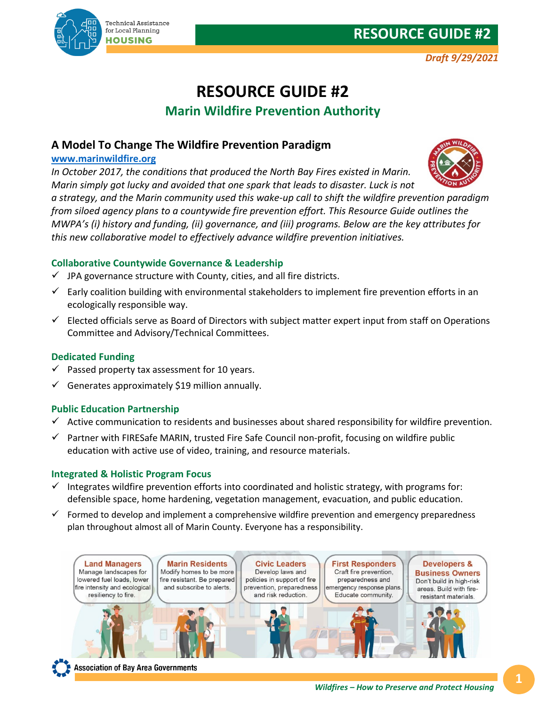# **RESOURCE GUIDE #2**

# **RESOURCE GUIDE #2 Marin Wildfire Prevention Authority**

## **A Model To Change The Wildfire Prevention Paradigm**

### **[www.marinwildfire.org](http://www.marinwildfire.org/)**

*In October 2017, the conditions that produced the North Bay Fires existed in Marin. Marin simply got lucky and avoided that one spark that leads to disaster. Luck is not* 

*a strategy, and the Marin community used this wake-up call to shift the wildfire prevention paradigm from siloed agency plans to a countywide fire prevention effort. This Resource Guide outlines the MWPA's (i) history and funding, (ii) governance, and (iii) programs. Below are the key attributes for this new collaborative model to effectively advance wildfire prevention initiatives.*

#### **Collaborative Countywide Governance & Leadership**

- $\checkmark$  JPA governance structure with County, cities, and all fire districts.
- $\checkmark$  Early coalition building with environmental stakeholders to implement fire prevention efforts in an ecologically responsible way.
- $\checkmark$  Elected officials serve as Board of Directors with subject matter expert input from staff on Operations Committee and Advisory/Technical Committees.

#### **Dedicated Funding**

- $\checkmark$  Passed property tax assessment for 10 years.
- Generates approximately \$19 million annually.

#### **Public Education Partnership**

- $\checkmark$  Active communication to residents and businesses about shared responsibility for wildfire prevention.
- $\checkmark$  Partner with FIRESafe MARIN, trusted Fire Safe Council non-profit, focusing on wildfire public education with active use of video, training, and resource materials.

#### **Integrated & Holistic Program Focus**

- Integrates wildfire prevention efforts into coordinated and holistic strategy, with programs for: defensible space, home hardening, vegetation management, evacuation, and public education.
- $\checkmark$  Formed to develop and implement a comprehensive wildfire prevention and emergency preparedness plan throughout almost all of Marin County. Everyone has a responsibility.





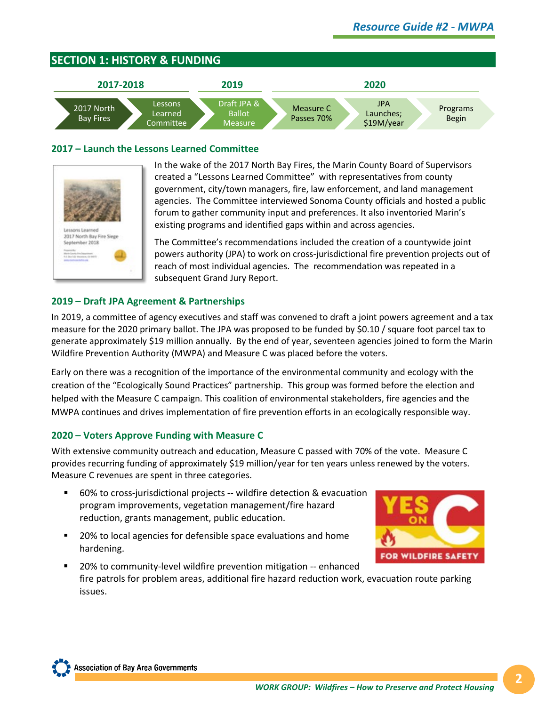

#### **2017 – Launch the Lessons Learned Committee**



In the wake of the 2017 North Bay Fires, the Marin County Board of Supervisors created a "Lessons Learned Committee" with representatives from county government, city/town managers, fire, law enforcement, and land management agencies. The Committee interviewed Sonoma County officials and hosted a public forum to gather community input and preferences. It also inventoried Marin's existing programs and identified gaps within and across agencies.

The Committee's recommendations included the creation of a countywide joint powers authority (JPA) to work on cross-jurisdictional fire prevention projects out of reach of most individual agencies. The recommendation was repeated in a subsequent Grand Jury Report.

#### **2019 – Draft JPA Agreement & Partnerships**

In 2019, a committee of agency executives and staff was convened to draft a joint powers agreement and a tax measure for the 2020 primary ballot. The JPA was proposed to be funded by \$0.10 / square foot parcel tax to generate approximately \$19 million annually. By the end of year, seventeen agencies joined to form the Marin Wildfire Prevention Authority (MWPA) and Measure C was placed before the voters.

Early on there was a recognition of the importance of the environmental community and ecology with the creation of the "Ecologically Sound Practices" partnership. This group was formed before the election and helped with the Measure C campaign. This coalition of environmental stakeholders, fire agencies and the MWPA continues and drives implementation of fire prevention efforts in an ecologically responsible way.

#### **2020 – Voters Approve Funding with Measure C**

With extensive community outreach and education, Measure C passed with 70% of the vote. Measure C provides recurring funding of approximately \$19 million/year for ten years unless renewed by the voters. Measure C revenues are spent in three categories.

- 60% to cross-jurisdictional projects -- wildfire detection & evacuation program improvements, vegetation management/fire hazard reduction, grants management, public education.
- 20% to local agencies for defensible space evaluations and home hardening.



 20% to community-level wildfire prevention mitigation -- enhanced fire patrols for problem areas, additional fire hazard reduction work, evacuation route parking issues.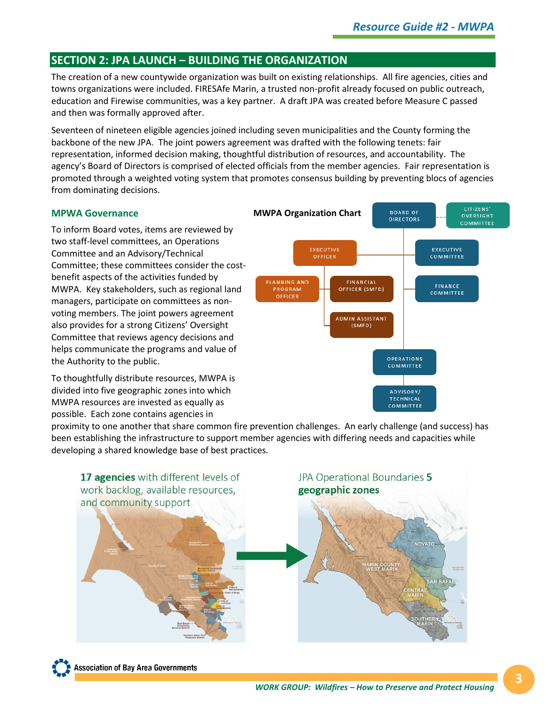# **SECTION 2: JPA LAUNCH – BUILDING THE ORGANIZATION**

The creation of a new countywide organization was built on existing relationships. All fire agencies, cities and towns organizations were included. FIRESAfe Marin, a trusted non-profit already focused on public outreach, education and Firewise communities, was a key partner. A draft JPA was created before Measure C passed and then was formally approved after.

Seventeen of nineteen eligible agencies joined including seven municipalities and the County forming the backbone of the new JPA. The joint powers agreement was drafted with the following tenets: fair representation, informed decision making, thoughtful distribution of resources, and accountability. The agency's Board of Directors is comprised of elected officials from the member agencies. Fair representation is promoted through a weighted voting system that promotes consensus building by preventing blocs of agencies from dominating decisions.

#### **MPWA Governance**

To inform Board votes, items are reviewed by two staff-level committees, an Operations Committee and an Advisory/Technical Committee; these committees consider the costbenefit aspects of the activities funded by MWPA. Key stakeholders, such as regional land managers, participate on committees as nonvoting members. The joint powers agreement also provides for a strong Citizens' Oversight Committee that reviews agency decisions and helps communicate the programs and value of the Authority to the public.

To thoughtfully distribute resources, MWPA is divided into five geographic zones into which MWPA resources are invested as equally as possible. Each zone contains agencies in



proximity to one another that share common fire prevention challenges. An early challenge (and success) has been establishing the infrastructure to support member agencies with differing needs and capacities while developing a shared knowledge base of best practices.



**Association of Bay Area Governments**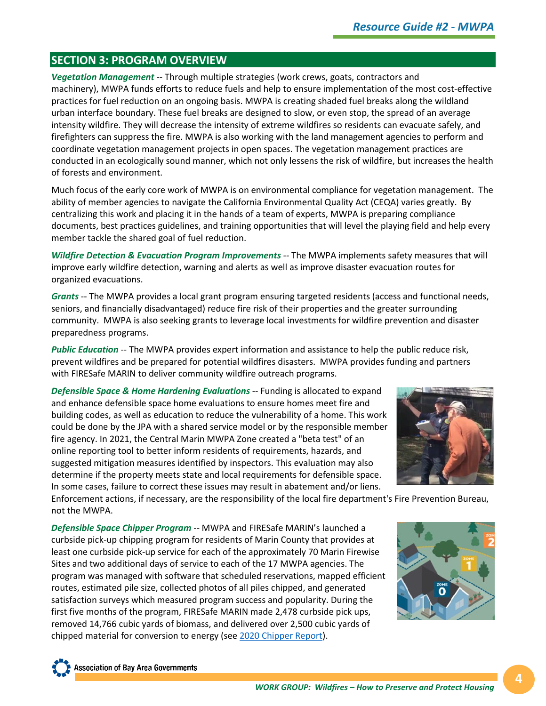# **SECTION 3: PROGRAM OVERVIEW**

*Vegetation Management* -- Through multiple strategies (work crews, goats, contractors and machinery), MWPA funds efforts to reduce fuels and help to ensure implementation of the most cost-effective practices for fuel reduction on an ongoing basis. MWPA is creating shaded fuel breaks along the wildland urban interface boundary. These fuel breaks are designed to slow, or even stop, the spread of an average intensity wildfire. They will decrease the intensity of extreme wildfires so residents can evacuate safely, and firefighters can suppress the fire. MWPA is also working with the land management agencies to perform and coordinate vegetation management projects in open spaces. The vegetation management practices are conducted in an ecologically sound manner, which not only lessens the risk of wildfire, but increases the health of forests and environment.

Much focus of the early core work of MWPA is on environmental compliance for vegetation management. The ability of member agencies to navigate the California Environmental Quality Act (CEQA) varies greatly. By centralizing this work and placing it in the hands of a team of experts, MWPA is preparing compliance documents, best practices guidelines, and training opportunities that will level the playing field and help every member tackle the shared goal of fuel reduction.

*Wildfire Detection & Evacuation Program Improvements --* The MWPA implements safety measures that will improve early wildfire detection, warning and alerts as well as improve disaster evacuation routes for organized evacuations.

*Grants* -- The MWPA provides a local grant program ensuring targeted residents (access and functional needs, seniors, and financially disadvantaged) reduce fire risk of their properties and the greater surrounding community. MWPA is also seeking grants to leverage local investments for wildfire prevention and disaster preparedness programs.

*Public Education* -- The MWPA provides expert information and assistance to help the public reduce risk, prevent wildfires and be prepared for potential wildfires disasters. MWPA provides funding and partners with FIRESafe MARIN to deliver community wildfire outreach programs.

*Defensible Space & Home Hardening Evaluations* -- Funding is allocated to expand and enhance defensible space home evaluations to ensure homes meet fire and building codes, as well as education to reduce the vulnerability of a home. This work could be done by the JPA with a shared service model or by the responsible member fire agency. In 2021, the Central Marin MWPA Zone created a "beta test" of an online reporting tool to better inform residents of requirements, hazards, and suggested mitigation measures identified by inspectors. This evaluation may also determine if the property meets state and local requirements for defensible space. In some cases, failure to correct these issues may result in abatement and/or liens.



Enforcement actions, if necessary, are the responsibility of the local fire department's Fire Prevention Bureau, not the MWPA.

*Defensible Space Chipper Program* -- MWPA and FIRESafe MARIN's launched a curbside pick-up chipping program for residents of Marin County that provides at least one curbside pick-up service for each of the approximately 70 Marin Firewise Sites and two additional days of service to each of the 17 MWPA agencies. The program was managed with software that scheduled reservations, mapped efficient routes, estimated pile size, collected photos of all piles chipped, and generated satisfaction surveys which measured program success and popularity. During the first five months of the program, FIRESafe MARIN made 2,478 curbside pick ups, removed 14,766 cubic yards of biomass, and delivered over 2,500 cubic yards of chipped material for conversion to energy (see [2020 Chipper Report\)](https://65d3cc39-04bd-40b7-9e19-9689d96e72bb.filesusr.com/ugd/ccb1b1_0dede9df3fee4f138fa26bb0ae38c28c.pdf).